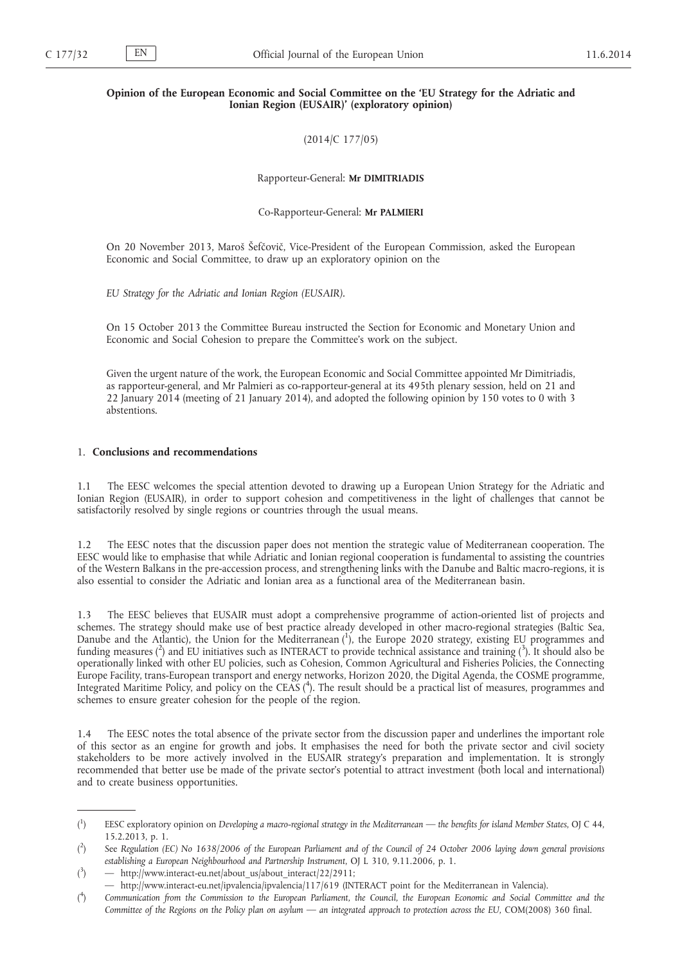## **Opinion of the European Economic and Social Committee on the 'EU Strategy for the Adriatic and Ionian Region (EUSAIR)' (exploratory opinion)**

(2014/C 177/05)

Rapporteur-General: **Mr DIMITRIADIS**

Co-Rapporteur-General: **Mr PALMIERI**

On 20 November 2013, Maroš Šefčovič, Vice-President of the European Commission, asked the European Economic and Social Committee, to draw up an exploratory opinion on the

*EU Strategy for the Adriatic and Ionian Region (EUSAIR).*

On 15 October 2013 the Committee Bureau instructed the Section for Economic and Monetary Union and Economic and Social Cohesion to prepare the Committee's work on the subject.

Given the urgent nature of the work, the European Economic and Social Committee appointed Mr Dimitriadis, as rapporteur-general, and Mr Palmieri as co-rapporteur-general at its 495th plenary session, held on 21 and 22 January 2014 (meeting of 21 January 2014), and adopted the following opinion by 150 votes to 0 with 3 abstentions.

## 1. **Conclusions and recommendations**

The EESC welcomes the special attention devoted to drawing up a European Union Strategy for the Adriatic and Ionian Region (EUSAIR), in order to support cohesion and competitiveness in the light of challenges that cannot be satisfactorily resolved by single regions or countries through the usual means.

1.2 The EESC notes that the discussion paper does not mention the strategic value of Mediterranean cooperation. The EESC would like to emphasise that while Adriatic and Ionian regional cooperation is fundamental to assisting the countries of the Western Balkans in the pre-accession process, and strengthening links with the Danube and Baltic macro-regions, it is also essential to consider the Adriatic and Ionian area as a functional area of the Mediterranean basin.

1.3 The EESC believes that EUSAIR must adopt a comprehensive programme of action-oriented list of projects and schemes. The strategy should make use of best practice already developed in other macro-regional strategies (Baltic Sea, Danube and the Atlantic), the Union for the Mediterranean (1), the Europe 2020 strategy, existing EU programmes and funding measures (<sup>2</sup>) and EU initiatives such as INTERACT to provide technical assistance and training (<sup>3</sup>). It should also be operationally linked with other EU policies, such as Cohesion, Common Agricultural and Fisheries Policies, the Connecting Europe Facility, trans-European transport and energy networks, Horizon 2020, the Digital Agenda, the COSME programme, Integrated Maritime Policy, and policy on the CEAS ( 4 ). The result should be a practical list of measures, programmes and schemes to ensure greater cohesion for the people of the region.

1.4 The EESC notes the total absence of the private sector from the discussion paper and underlines the important role of this sector as an engine for growth and jobs. It emphasises the need for both the private sector and civil society stakeholders to be more actively involved in the EUSAIR strategy's preparation and implementation. It is strongly recommended that better use be made of the private sector's potential to attract investment (both local and international) and to create business opportunities.

 $($ <sup>1</sup> ) EESC exploratory opinion on *Developing a macro-regional strategy in the Mediterranean — the benefits for island Member States*, OJ C 44, 15.2.2013, p. 1.

 $($ <sup>2</sup> ) See *Regulation (EC) No 1638/2006 of the European Parliament and of the Council of 24 October 2006 laying down general provisions establishing a European Neighbourhood and Partnership Instrument*, OJ L 310, 9.11.2006, p. 1.

 $(3)$ ) — [http://www.interact-eu.net/about\\_us/about\\_interact/22/2911;](http://www.interact-eu.net/about_us/about_interact/22/2911)

<sup>—</sup> [http://www.interact-eu.net/ipvalencia/ipvalencia/117/619 \(INTERACT point for the Mediterranean in Valencia\).](http://www.interact-eu.net/ipvalencia/ipvalencia/117/619)

 $($ <sup>4</sup> ) *Communication from the Commission to the European Parliament, the Council, the European Economic and Social Committee and the Committee of the Regions on the Policy plan on asylum — an integrated approach to protection across the EU, COM(2008) 360 final.*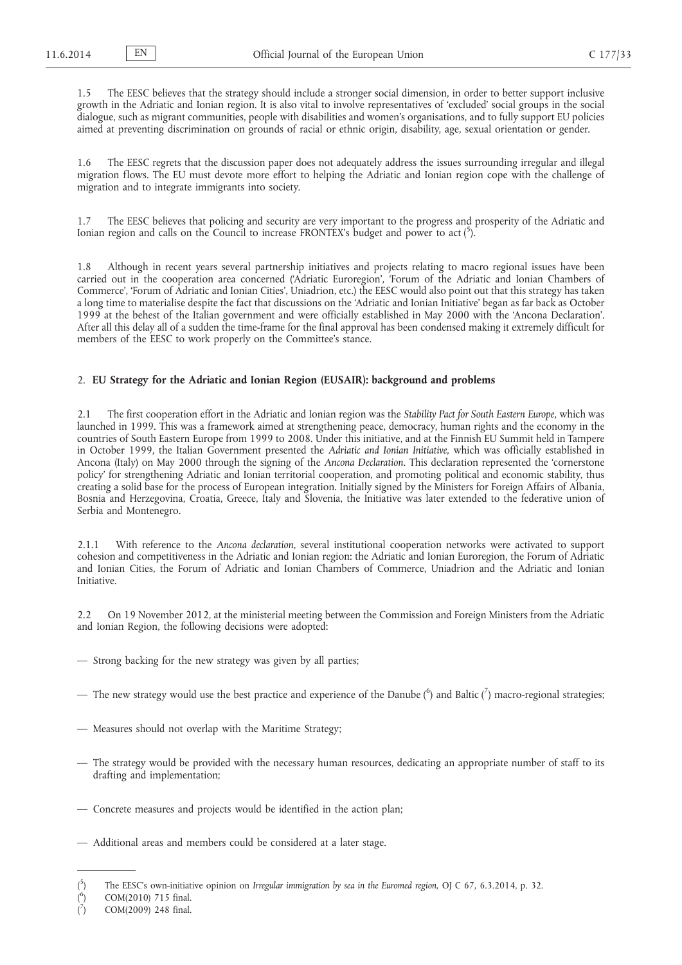1.5 The EESC believes that the strategy should include a stronger social dimension, in order to better support inclusive growth in the Adriatic and Ionian region. It is also vital to involve representatives of 'excluded' social groups in the social dialogue, such as migrant communities, people with disabilities and women's organisations, and to fully support EU policies aimed at preventing discrimination on grounds of racial or ethnic origin, disability, age, sexual orientation or gender.

1.6 The EESC regrets that the discussion paper does not adequately address the issues surrounding irregular and illegal migration flows. The EU must devote more effort to helping the Adriatic and Ionian region cope with the challenge of migration and to integrate immigrants into society.

1.7 The EESC believes that policing and security are very important to the progress and prosperity of the Adriatic and Ionian region and calls on the Council to increase FRONTEX's budget and power to act (5).

1.8 Although in recent years several partnership initiatives and projects relating to macro regional issues have been carried out in the cooperation area concerned ('Adriatic Euroregion', 'Forum of the Adriatic and Ionian Chambers of Commerce', 'Forum of Adriatic and Ionian Cities', Uniadrion, etc.) the EESC would also point out that this strategy has taken a long time to materialise despite the fact that discussions on the 'Adriatic and Ionian Initiative' began as far back as October 1999 at the behest of the Italian government and were officially established in May 2000 with the 'Ancona Declaration'. After all this delay all of a sudden the time-frame for the final approval has been condensed making it extremely difficult for members of the EESC to work properly on the Committee's stance.

# 2. **EU Strategy for the Adriatic and Ionian Region (EUSAIR): background and problems**

2.1 The first cooperation effort in the Adriatic and Ionian region was the *Stability Pact for South Eastern Europe*, which was launched in 1999. This was a framework aimed at strengthening peace, democracy, human rights and the economy in the countries of South Eastern Europe from 1999 to 2008. Under this initiative, and at the Finnish EU Summit held in Tampere in October 1999, the Italian Government presented the *Adriatic and Ionian Initiative,* which was officially established in Ancona (Italy) on May 2000 through the signing of the *Ancona Declaration*. This declaration represented the 'cornerstone policy' for strengthening Adriatic and Ionian territorial cooperation, and promoting political and economic stability, thus creating a solid base for the process of European integration. Initially signed by the Ministers for Foreign Affairs of Albania, Bosnia and Herzegovina, Croatia, Greece, Italy and Slovenia, the Initiative was later extended to the federative union of Serbia and Montenegro.

2.1.1 With reference to the *Ancona declaration*, several institutional cooperation networks were activated to support cohesion and competitiveness in the Adriatic and Ionian region: the Adriatic and Ionian Euroregion, the Forum of Adriatic and Ionian Cities, the Forum of Adriatic and Ionian Chambers of Commerce, Uniadrion and the Adriatic and Ionian Initiative.

2.2 On 19 November 2012, at the ministerial meeting between the Commission and Foreign Ministers from the Adriatic and Ionian Region, the following decisions were adopted:

- Strong backing for the new strategy was given by all parties;
- $-$  The new strategy would use the best practice and experience of the Danube ( $^6$ ) and Baltic ( $^7$ ) macro-regional strategies;
- Measures should not overlap with the Maritime Strategy;
- The strategy would be provided with the necessary human resources, dedicating an appropriate number of staff to its drafting and implementation;
- Concrete measures and projects would be identified in the action plan;
- Additional areas and members could be considered at a later stage.

 $(5)$ ) The EESC's own-initiative opinion on *Irregular immigration by sea in the Euromed region,* OJ C 67, 6.3.2014, p. 32.

 $($ <sup>6</sup> ) COM(2010) 715 final.

<sup>(</sup> 7 ) COM(2009) 248 final.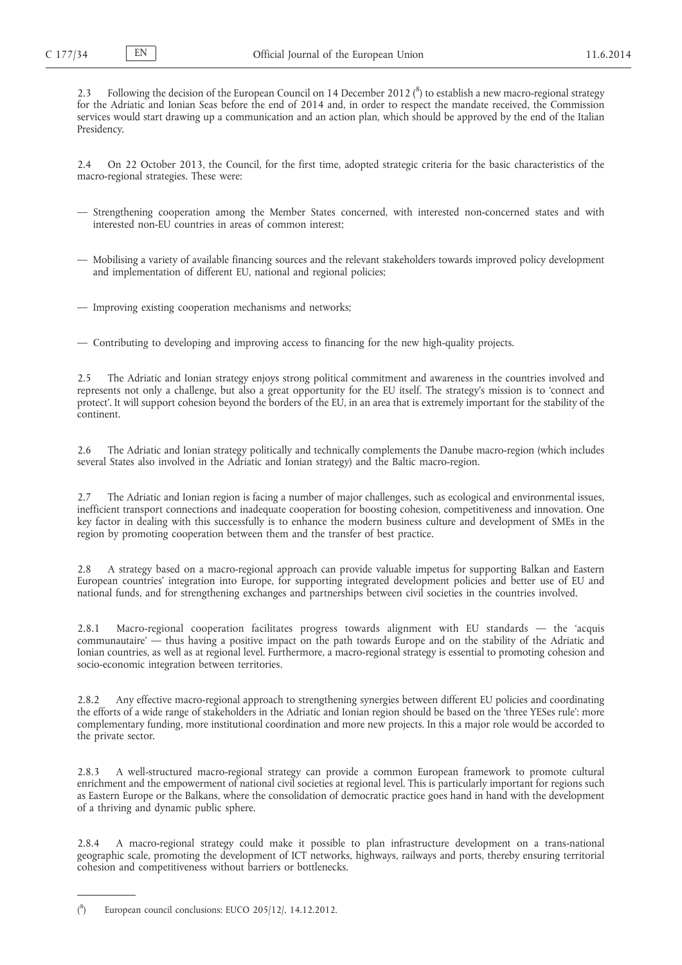2.3 Following the decision of the European Council on 14 December 2012 ( $^8$ ) to establish a new macro-regional strategy for the Adriatic and Ionian Seas before the end of 2014 and, in order to respect the mandate received, the Commission services would start drawing up a communication and an action plan, which should be approved by the end of the Italian Presidency.

2.4 On 22 October 2013, the Council, for the first time, adopted strategic criteria for the basic characteristics of the macro-regional strategies. These were:

- Strengthening cooperation among the Member States concerned, with interested non-concerned states and with interested non-EU countries in areas of common interest;
- Mobilising a variety of available financing sources and the relevant stakeholders towards improved policy development and implementation of different EU, national and regional policies;
- Improving existing cooperation mechanisms and networks;

— Contributing to developing and improving access to financing for the new high-quality projects.

2.5 The Adriatic and Ionian strategy enjoys strong political commitment and awareness in the countries involved and represents not only a challenge, but also a great opportunity for the EU itself. The strategy's mission is to 'connect and protect'. It will support cohesion beyond the borders of the EU, in an area that is extremely important for the stability of the continent.

2.6 The Adriatic and Ionian strategy politically and technically complements the Danube macro-region (which includes several States also involved in the Adriatic and Ionian strategy) and the Baltic macro-region.

2.7 The Adriatic and Ionian region is facing a number of major challenges, such as ecological and environmental issues, inefficient transport connections and inadequate cooperation for boosting cohesion, competitiveness and innovation. One key factor in dealing with this successfully is to enhance the modern business culture and development of SMEs in the region by promoting cooperation between them and the transfer of best practice.

2.8 A strategy based on a macro-regional approach can provide valuable impetus for supporting Balkan and Eastern European countries' integration into Europe, for supporting integrated development policies and better use of EU and national funds, and for strengthening exchanges and partnerships between civil societies in the countries involved.

2.8.1 Macro-regional cooperation facilitates progress towards alignment with EU standards — the 'acquis communautaire' — thus having a positive impact on the path towards Europe and on the stability of the Adriatic and Ionian countries, as well as at regional level. Furthermore, a macro-regional strategy is essential to promoting cohesion and socio-economic integration between territories.

2.8.2 Any effective macro-regional approach to strengthening synergies between different EU policies and coordinating the efforts of a wide range of stakeholders in the Adriatic and Ionian region should be based on the 'three YESes rule': more complementary funding, more institutional coordination and more new projects. In this a major role would be accorded to the private sector.

2.8.3 A well-structured macro-regional strategy can provide a common European framework to promote cultural enrichment and the empowerment of national civil societies at regional level. This is particularly important for regions such as Eastern Europe or the Balkans, where the consolidation of democratic practice goes hand in hand with the development of a thriving and dynamic public sphere.

2.8.4 A macro-regional strategy could make it possible to plan infrastructure development on a trans-national geographic scale, promoting the development of ICT networks, highways, railways and ports, thereby ensuring territorial cohesion and competitiveness without barriers or bottlenecks.

 $($ <sup>8</sup> European council conclusions: EUCO 205/12/, 14.12.2012.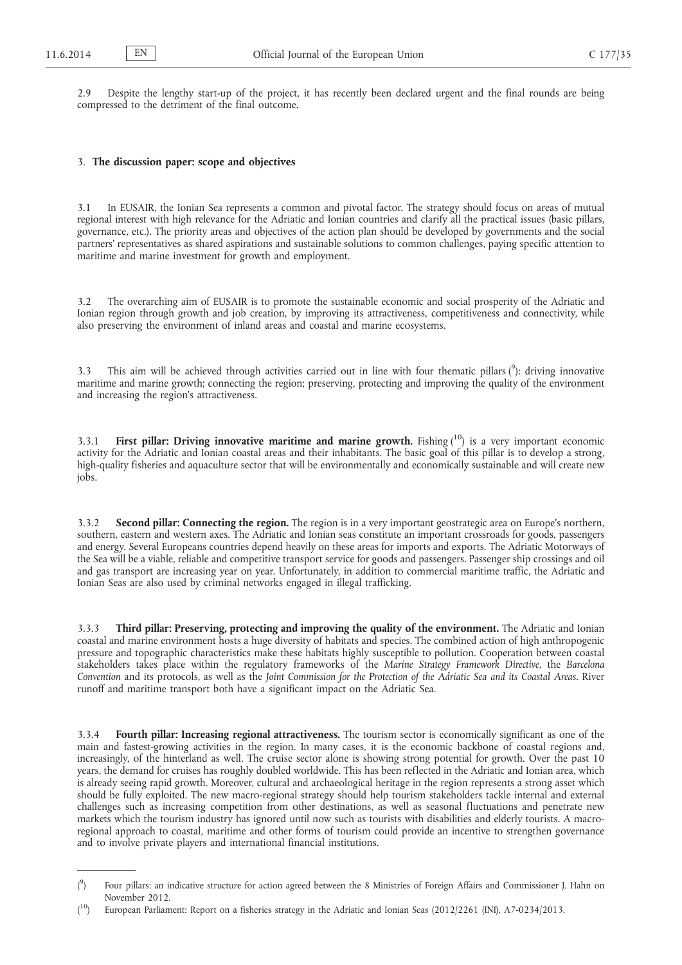2.9 Despite the lengthy start-up of the project, it has recently been declared urgent and the final rounds are being compressed to the detriment of the final outcome.

#### 3. **The discussion paper: scope and objectives**

3.1 In EUSAIR, the Ionian Sea represents a common and pivotal factor. The strategy should focus on areas of mutual regional interest with high relevance for the Adriatic and Ionian countries and clarify all the practical issues (basic pillars, governance, etc.). The priority areas and objectives of the action plan should be developed by governments and the social partners' representatives as shared aspirations and sustainable solutions to common challenges, paying specific attention to maritime and marine investment for growth and employment.

3.2 The overarching aim of EUSAIR is to promote the sustainable economic and social prosperity of the Adriatic and Ionian region through growth and job creation, by improving its attractiveness, competitiveness and connectivity, while also preserving the environment of inland areas and coastal and marine ecosystems.

3.3 This aim will be achieved through activities carried out in line with four thematic pillars  $(°)$ : driving innovative maritime and marine growth; connecting the region; preserving, protecting and improving the quality of the environment and increasing the region's attractiveness.

3.3.1 **First pillar: Driving innovative maritime and marine growth.** Fishing (<sup>10</sup>) is a very important economic activity for the Adriatic and Ionian coastal areas and their inhabitants. The basic goal of this pillar is to develop a strong, high-quality fisheries and aquaculture sector that will be environmentally and economically sustainable and will create new jobs.

3.3.2 **Second pillar: Connecting the region.** The region is in a very important geostrategic area on Europe's northern, southern, eastern and western axes. The Adriatic and Ionian seas constitute an important crossroads for goods, passengers and energy. Several Europeans countries depend heavily on these areas for imports and exports. The Adriatic Motorways of the Sea will be a viable, reliable and competitive transport service for goods and passengers. Passenger ship crossings and oil and gas transport are increasing year on year. Unfortunately, in addition to commercial maritime traffic, the Adriatic and Ionian Seas are also used by criminal networks engaged in illegal trafficking.

3.3.3 **Third pillar: Preserving, protecting and improving the quality of the environment.** The Adriatic and Ionian coastal and marine environment hosts a huge diversity of habitats and species. The combined action of high anthropogenic pressure and topographic characteristics make these habitats highly susceptible to pollution. Cooperation between coastal stakeholders takes place within the regulatory frameworks of the *Marine Strategy Framework Directive*, the *Barcelona Convention* and its protocols, as well as the *Joint Commission for the Protection of the Adriatic Sea and its Coastal Areas*. River runoff and maritime transport both have a significant impact on the Adriatic Sea.

3.3.4 **Fourth pillar: Increasing regional attractiveness.** The tourism sector is economically significant as one of the main and fastest-growing activities in the region. In many cases, it is the economic backbone of coastal regions and, increasingly, of the hinterland as well. The cruise sector alone is showing strong potential for growth. Over the past 10 years, the demand for cruises has roughly doubled worldwide. This has been reflected in the Adriatic and Ionian area, which is already seeing rapid growth. Moreover, cultural and archaeological heritage in the region represents a strong asset which should be fully exploited. The new macro-regional strategy should help tourism stakeholders tackle internal and external challenges such as increasing competition from other destinations, as well as seasonal fluctuations and penetrate new markets which the tourism industry has ignored until now such as tourists with disabilities and elderly tourists. A macroregional approach to coastal, maritime and other forms of tourism could provide an incentive to strengthen governance and to involve private players and international financial institutions.

 $($ <sup>9</sup> ) Four pillars: an indicative structure for action agreed between the 8 Ministries of Foreign Affairs and Commissioner J. Hahn on November 2012.

 $(10)$ 10) European Parliament: Report on a fisheries strategy in the Adriatic and Ionian Seas (2012/2261 (INI), A7-0234/2013.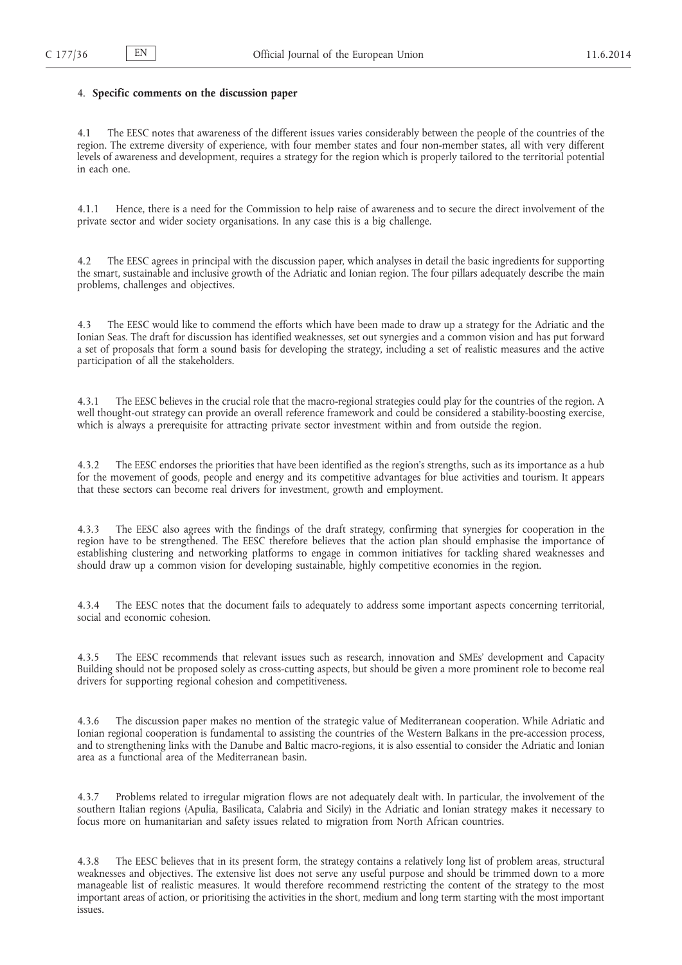# 4. **Specific comments on the discussion paper**

4.1 The EESC notes that awareness of the different issues varies considerably between the people of the countries of the region. The extreme diversity of experience, with four member states and four non-member states, all with very different levels of awareness and development, requires a strategy for the region which is properly tailored to the territorial potential in each one.

4.1.1 Hence, there is a need for the Commission to help raise of awareness and to secure the direct involvement of the private sector and wider society organisations. In any case this is a big challenge.

4.2 The EESC agrees in principal with the discussion paper, which analyses in detail the basic ingredients for supporting the smart, sustainable and inclusive growth of the Adriatic and Ionian region. The four pillars adequately describe the main problems, challenges and objectives.

4.3 The EESC would like to commend the efforts which have been made to draw up a strategy for the Adriatic and the Ionian Seas. The draft for discussion has identified weaknesses, set out synergies and a common vision and has put forward a set of proposals that form a sound basis for developing the strategy, including a set of realistic measures and the active participation of all the stakeholders.

4.3.1 The EESC believes in the crucial role that the macro-regional strategies could play for the countries of the region. A well thought-out strategy can provide an overall reference framework and could be considered a stability-boosting exercise, which is always a prerequisite for attracting private sector investment within and from outside the region.

4.3.2 The EESC endorses the priorities that have been identified as the region's strengths, such as its importance as a hub for the movement of goods, people and energy and its competitive advantages for blue activities and tourism. It appears that these sectors can become real drivers for investment, growth and employment.

4.3.3 The EESC also agrees with the findings of the draft strategy, confirming that synergies for cooperation in the region have to be strengthened. The EESC therefore believes that the action plan should emphasise the importance of establishing clustering and networking platforms to engage in common initiatives for tackling shared weaknesses and should draw up a common vision for developing sustainable, highly competitive economies in the region.

4.3.4 The EESC notes that the document fails to adequately to address some important aspects concerning territorial, social and economic cohesion.

4.3.5 The EESC recommends that relevant issues such as research, innovation and SMEs' development and Capacity Building should not be proposed solely as cross-cutting aspects, but should be given a more prominent role to become real drivers for supporting regional cohesion and competitiveness.

4.3.6 The discussion paper makes no mention of the strategic value of Mediterranean cooperation. While Adriatic and Ionian regional cooperation is fundamental to assisting the countries of the Western Balkans in the pre-accession process, and to strengthening links with the Danube and Baltic macro-regions, it is also essential to consider the Adriatic and Ionian area as a functional area of the Mediterranean basin.

4.3.7 Problems related to irregular migration flows are not adequately dealt with. In particular, the involvement of the southern Italian regions (Apulia, Basilicata, Calabria and Sicily) in the Adriatic and Ionian strategy makes it necessary to focus more on humanitarian and safety issues related to migration from North African countries.

4.3.8 The EESC believes that in its present form, the strategy contains a relatively long list of problem areas, structural weaknesses and objectives. The extensive list does not serve any useful purpose and should be trimmed down to a more manageable list of realistic measures. It would therefore recommend restricting the content of the strategy to the most important areas of action, or prioritising the activities in the short, medium and long term starting with the most important issues.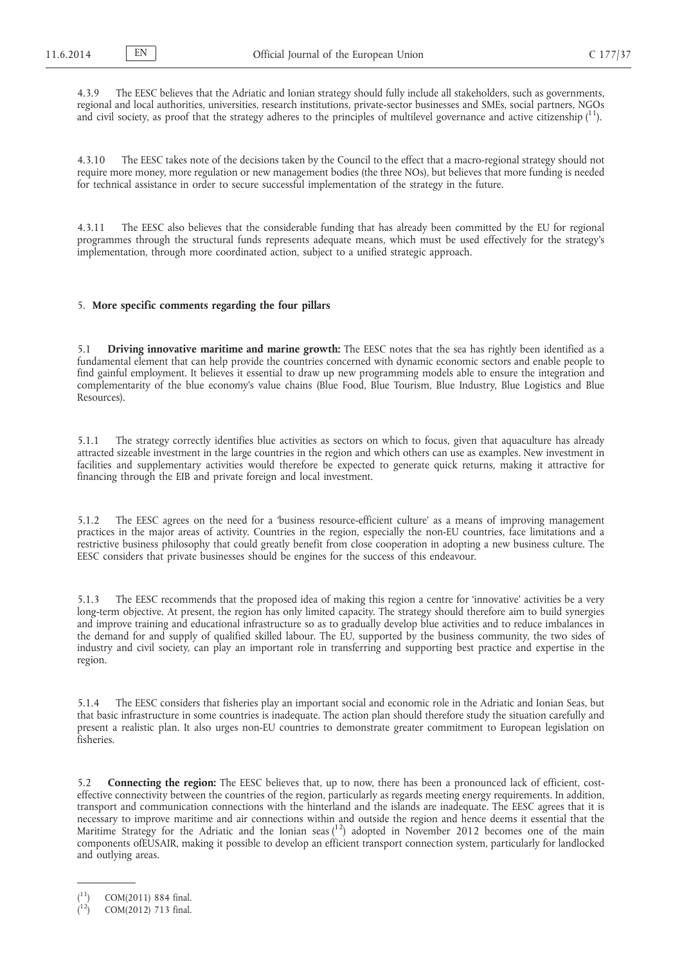4.3.9 The EESC believes that the Adriatic and Ionian strategy should fully include all stakeholders, such as governments, regional and local authorities, universities, research institutions, private-sector businesses and SMEs, social partners, NGOs and civil society, as proof that the strategy adheres to the principles of multilevel governance and active citizenship  $(^{11})$ .

4.3.10 The EESC takes note of the decisions taken by the Council to the effect that a macro-regional strategy should not require more money, more regulation or new management bodies (the three NOs), but believes that more funding is needed for technical assistance in order to secure successful implementation of the strategy in the future.

4.3.11 The EESC also believes that the considerable funding that has already been committed by the EU for regional programmes through the structural funds represents adequate means, which must be used effectively for the strategy's implementation, through more coordinated action, subject to a unified strategic approach.

### 5. **More specific comments regarding the four pillars**

5.1 **Driving innovative maritime and marine growth:** The EESC notes that the sea has rightly been identified as a fundamental element that can help provide the countries concerned with dynamic economic sectors and enable people to find gainful employment. It believes it essential to draw up new programming models able to ensure the integration and complementarity of the blue economy's value chains (Blue Food, Blue Tourism, Blue Industry, Blue Logistics and Blue Resources).

5.1.1 The strategy correctly identifies blue activities as sectors on which to focus, given that aquaculture has already attracted sizeable investment in the large countries in the region and which others can use as examples. New investment in facilities and supplementary activities would therefore be expected to generate quick returns, making it attractive for financing through the EIB and private foreign and local investment.

5.1.2 The EESC agrees on the need for a 'business resource-efficient culture' as a means of improving management practices in the major areas of activity. Countries in the region, especially the non-EU countries, face limitations and a restrictive business philosophy that could greatly benefit from close cooperation in adopting a new business culture. The EESC considers that private businesses should be engines for the success of this endeavour.

5.1.3 The EESC recommends that the proposed idea of making this region a centre for 'innovative' activities be a very long-term objective. At present, the region has only limited capacity. The strategy should therefore aim to build synergies and improve training and educational infrastructure so as to gradually develop blue activities and to reduce imbalances in the demand for and supply of qualified skilled labour. The EU, supported by the business community, the two sides of industry and civil society, can play an important role in transferring and supporting best practice and expertise in the region.

5.1.4 The EESC considers that fisheries play an important social and economic role in the Adriatic and Ionian Seas, but that basic infrastructure in some countries is inadequate. The action plan should therefore study the situation carefully and present a realistic plan. It also urges non-EU countries to demonstrate greater commitment to European legislation on fisheries.

5.2 **Connecting the region:** The EESC believes that, up to now, there has been a pronounced lack of efficient, costeffective connectivity between the countries of the region, particularly as regards meeting energy requirements. In addition, transport and communication connections with the hinterland and the islands are inadequate. The EESC agrees that it is necessary to improve maritime and air connections within and outside the region and hence deems it essential that the Maritime Strategy for the Adriatic and the Ionian seas  $\binom{12}{1}$  adopted in November 2012 becomes one of the main components ofEUSAIR, making it possible to develop an efficient transport connection system, particularly for landlocked and outlying areas.

<sup>(</sup> COM(2011) 884 final.

<sup>(</sup> COM(2012) 713 final.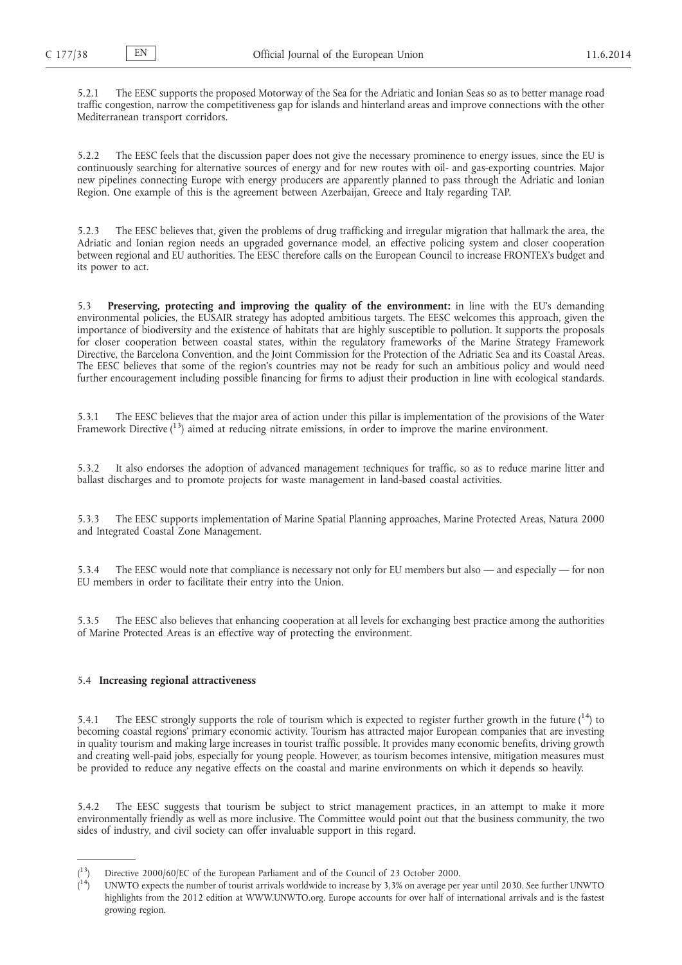5.2.1 The EESC supports the proposed Motorway of the Sea for the Adriatic and Ionian Seas so as to better manage road traffic congestion, narrow the competitiveness gap for islands and hinterland areas and improve connections with the other Mediterranean transport corridors.

5.2.2 The EESC feels that the discussion paper does not give the necessary prominence to energy issues, since the EU is continuously searching for alternative sources of energy and for new routes with oil- and gas-exporting countries. Major new pipelines connecting Europe with energy producers are apparently planned to pass through the Adriatic and Ionian Region. One example of this is the agreement between Azerbaijan, Greece and Italy regarding TAP.

5.2.3 The EESC believes that, given the problems of drug trafficking and irregular migration that hallmark the area, the Adriatic and Ionian region needs an upgraded governance model, an effective policing system and closer cooperation between regional and EU authorities. The EESC therefore calls on the European Council to increase FRONTEX's budget and its power to act.

5.3 **Preserving, protecting and improving the quality of the environment:** in line with the EU's demanding environmental policies, the EUSAIR strategy has adopted ambitious targets. The EESC welcomes this approach, given the importance of biodiversity and the existence of habitats that are highly susceptible to pollution. It supports the proposals for closer cooperation between coastal states, within the regulatory frameworks of the Marine Strategy Framework Directive, the Barcelona Convention, and the Joint Commission for the Protection of the Adriatic Sea and its Coastal Areas. The EESC believes that some of the region's countries may not be ready for such an ambitious policy and would need further encouragement including possible financing for firms to adjust their production in line with ecological standards.

5.3.1 The EESC believes that the major area of action under this pillar is implementation of the provisions of the Water Framework Directive ( $13$ ) aimed at reducing nitrate emissions, in order to improve the marine environment.

5.3.2 It also endorses the adoption of advanced management techniques for traffic, so as to reduce marine litter and ballast discharges and to promote projects for waste management in land-based coastal activities.

5.3.3 The EESC supports implementation of Marine Spatial Planning approaches, Marine Protected Areas, Natura 2000 and Integrated Coastal Zone Management.

5.3.4 The EESC would note that compliance is necessary not only for EU members but also — and especially — for non EU members in order to facilitate their entry into the Union.

5.3.5 The EESC also believes that enhancing cooperation at all levels for exchanging best practice among the authorities of Marine Protected Areas is an effective way of protecting the environment.

### 5.4 **Increasing regional attractiveness**

5.4.1 The EESC strongly supports the role of tourism which is expected to register further growth in the future  $(^{14})$  to becoming coastal regions' primary economic activity. Tourism has attracted major European companies that are investing in quality tourism and making large increases in tourist traffic possible. It provides many economic benefits, driving growth and creating well-paid jobs, especially for young people. However, as tourism becomes intensive, mitigation measures must be provided to reduce any negative effects on the coastal and marine environments on which it depends so heavily.

5.4.2 The EESC suggests that tourism be subject to strict management practices, in an attempt to make it more environmentally friendly as well as more inclusive. The Committee would point out that the business community, the two sides of industry, and civil society can offer invaluable support in this regard.

<sup>(</sup> Directive 2000/60/EC of the European Parliament and of the Council of 23 October 2000.

<sup>(</sup> 14) UNWTO expects the number of tourist arrivals worldwide to increase by 3,3% on average per year until 2030. See further UNWTO highlights from the 2012 edition at [WWW.UNWTO.org. Europe accounts for over half of international arrivals and is the fastest](WWW.UNWTO.org)  growing region.